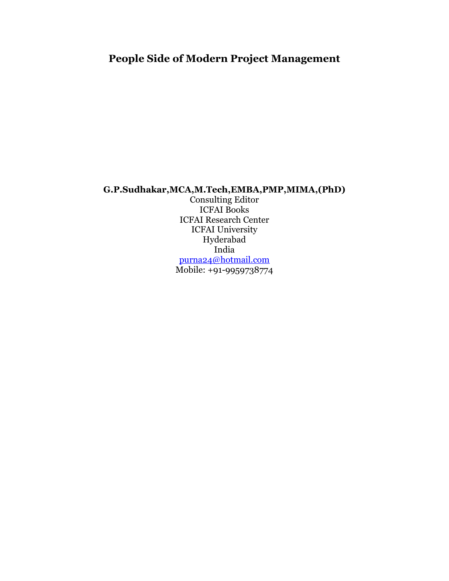# **People Side of Modern Project Management**

# **G.P.Sudhakar,MCA,M.Tech,EMBA,PMP,MIMA,(PhD)**

Consulting Editor ICFAI Books ICFAI Research Center ICFAI University Hyderabad India [purna24@hotmail.com](mailto:purna24@hotmail.com) Mobile: +91-9959738774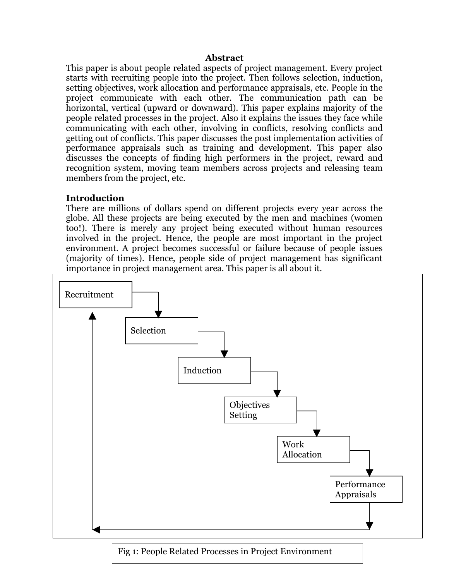#### **Abstract**

This paper is about people related aspects of project management. Every project starts with recruiting people into the project. Then follows selection, induction, setting objectives, work allocation and performance appraisals, etc. People in the project communicate with each other. The communication path can be horizontal, vertical (upward or downward). This paper explains majority of the people related processes in the project. Also it explains the issues they face while communicating with each other, involving in conflicts, resolving conflicts and getting out of conflicts. This paper discusses the post implementation activities of performance appraisals such as training and development. This paper also discusses the concepts of finding high performers in the project, reward and recognition system, moving team members across projects and releasing team members from the project, etc.

# **Introduction**

There are millions of dollars spend on different projects every year across the globe. All these projects are being executed by the men and machines (women too!). There is merely any project being executed without human resources involved in the project. Hence, the people are most important in the project environment. A project becomes successful or failure because of people issues (majority of times). Hence, people side of project management has significant importance in project management area. This paper is all about it.



Fig 1: People Related Processes in Project Environment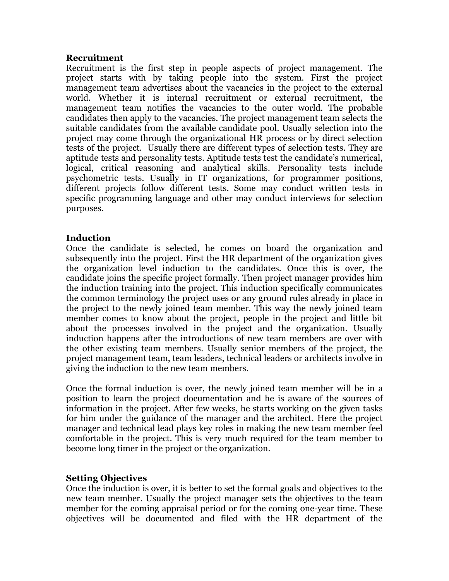### **Recruitment**

Recruitment is the first step in people aspects of project management. The project starts with by taking people into the system. First the project management team advertises about the vacancies in the project to the external world. Whether it is internal recruitment or external recruitment, the management team notifies the vacancies to the outer world. The probable candidates then apply to the vacancies. The project management team selects the suitable candidates from the available candidate pool. Usually selection into the project may come through the organizational HR process or by direct selection tests of the project. Usually there are different types of selection tests. They are aptitude tests and personality tests. Aptitude tests test the candidate's numerical, logical, critical reasoning and analytical skills. Personality tests include psychometric tests. Usually in IT organizations, for programmer positions, different projects follow different tests. Some may conduct written tests in specific programming language and other may conduct interviews for selection purposes.

# **Induction**

Once the candidate is selected, he comes on board the organization and subsequently into the project. First the HR department of the organization gives the organization level induction to the candidates. Once this is over, the candidate joins the specific project formally. Then project manager provides him the induction training into the project. This induction specifically communicates the common terminology the project uses or any ground rules already in place in the project to the newly joined team member. This way the newly joined team member comes to know about the project, people in the project and little bit about the processes involved in the project and the organization. Usually induction happens after the introductions of new team members are over with the other existing team members. Usually senior members of the project, the project management team, team leaders, technical leaders or architects involve in giving the induction to the new team members.

Once the formal induction is over, the newly joined team member will be in a position to learn the project documentation and he is aware of the sources of information in the project. After few weeks, he starts working on the given tasks for him under the guidance of the manager and the architect. Here the project manager and technical lead plays key roles in making the new team member feel comfortable in the project. This is very much required for the team member to become long timer in the project or the organization.

# **Setting Objectives**

Once the induction is over, it is better to set the formal goals and objectives to the new team member. Usually the project manager sets the objectives to the team member for the coming appraisal period or for the coming one-year time. These objectives will be documented and filed with the HR department of the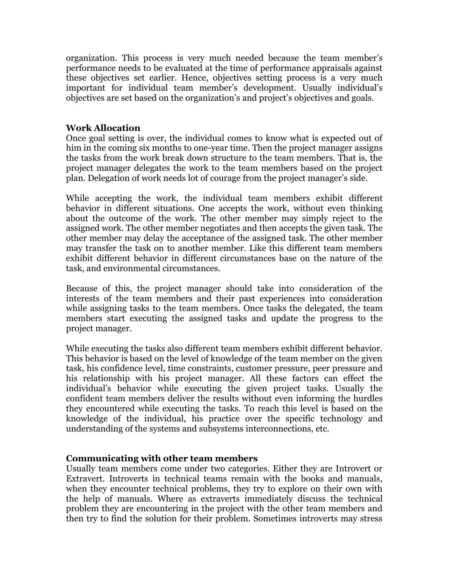organization. This process is very much needed because the team member's performance needs to be evaluated at the time of performance appraisals against these objectives set earlier. Hence, objectives setting process is a very much important for individual team member's development. Usually individual's objectives are set based on the organization's and project's objectives and goals.

#### **Work Allocation**

Once goal setting is over, the individual comes to know what is expected out of him in the coming six months to one-year time. Then the project manager assigns the tasks from the work break down structure to the team members. That is, the project manager delegates the work to the team members based on the project plan. Delegation of work needs lot of courage from the project manager's side.

While accepting the work, the individual team members exhibit different behavior in different situations. One accepts the work, without even thinking about the outcome of the work. The other member may simply reject to the assigned work. The other member negotiates and then accepts the given task. The other member may delay the acceptance of the assigned task. The other member may transfer the task on to another member. Like this different team members exhibit different behavior in different circumstances base on the nature of the task, and environmental circumstances.

Because of this, the project manager should take into consideration of the interests of the team members and their past experiences into consideration while assigning tasks to the team members. Once tasks the delegated, the team members start executing the assigned tasks and update the progress to the project manager.

While executing the tasks also different team members exhibit different behavior. This behavior is based on the level of knowledge of the team member on the given task, his confidence level, time constraints, customer pressure, peer pressure and his relationship with his project manager. All these factors can effect the individual's behavior while executing the given project tasks. Usually the confident team members deliver the results without even informing the hurdles they encountered while executing the tasks. To reach this level is based on the knowledge of the individual, his practice over the specific technology and understanding of the systems and subsystems interconnections, etc.

#### **Communicating with other team members**

Usually team members come under two categories. Either they are Introvert or Extravert. Introverts in technical teams remain with the books and manuals, when they encounter technical problems, they try to explore on their own with the help of manuals. Where as extraverts immediately discuss the technical problem they are encountering in the project with the other team members and then try to find the solution for their problem. Sometimes introverts may stress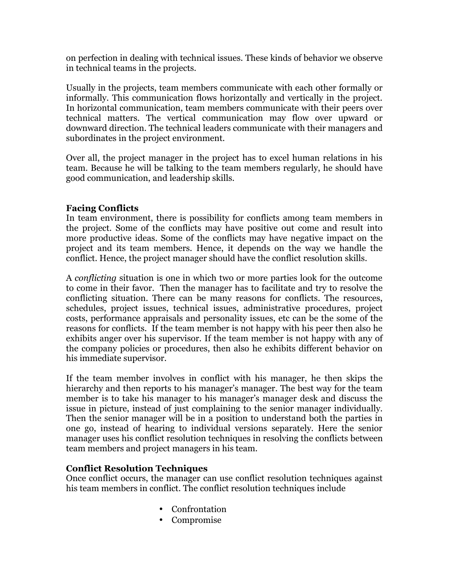on perfection in dealing with technical issues. These kinds of behavior we observe in technical teams in the projects.

Usually in the projects, team members communicate with each other formally or informally. This communication flows horizontally and vertically in the project. In horizontal communication, team members communicate with their peers over technical matters. The vertical communication may flow over upward or downward direction. The technical leaders communicate with their managers and subordinates in the project environment.

Over all, the project manager in the project has to excel human relations in his team. Because he will be talking to the team members regularly, he should have good communication, and leadership skills.

# **Facing Conflicts**

In team environment, there is possibility for conflicts among team members in the project. Some of the conflicts may have positive out come and result into more productive ideas. Some of the conflicts may have negative impact on the project and its team members. Hence, it depends on the way we handle the conflict. Hence, the project manager should have the conflict resolution skills.

A *conflicting* situation is one in which two or more parties look for the outcome to come in their favor. Then the manager has to facilitate and try to resolve the conflicting situation. There can be many reasons for conflicts. The resources, schedules, project issues, technical issues, administrative procedures, project costs, performance appraisals and personality issues, etc can be the some of the reasons for conflicts. If the team member is not happy with his peer then also he exhibits anger over his supervisor. If the team member is not happy with any of the company policies or procedures, then also he exhibits different behavior on his immediate supervisor.

If the team member involves in conflict with his manager, he then skips the hierarchy and then reports to his manager's manager. The best way for the team member is to take his manager to his manager's manager desk and discuss the issue in picture, instead of just complaining to the senior manager individually. Then the senior manager will be in a position to understand both the parties in one go, instead of hearing to individual versions separately. Here the senior manager uses his conflict resolution techniques in resolving the conflicts between team members and project managers in his team.

# **Conflict Resolution Techniques**

Once conflict occurs, the manager can use conflict resolution techniques against his team members in conflict. The conflict resolution techniques include

- Confrontation
- Compromise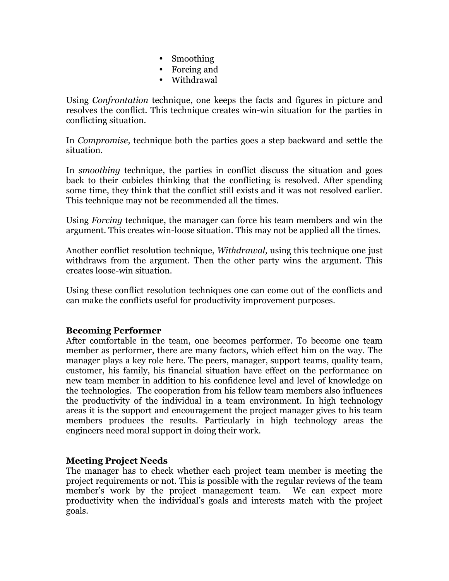- Smoothing
- Forcing and
- Withdrawal

Using *Confrontation* technique, one keeps the facts and figures in picture and resolves the conflict. This technique creates win-win situation for the parties in conflicting situation.

In *Compromise,* technique both the parties goes a step backward and settle the situation.

In *smoothing* technique, the parties in conflict discuss the situation and goes back to their cubicles thinking that the conflicting is resolved. After spending some time, they think that the conflict still exists and it was not resolved earlier. This technique may not be recommended all the times.

Using *Forcing* technique, the manager can force his team members and win the argument. This creates win-loose situation. This may not be applied all the times.

Another conflict resolution technique, *Withdrawal,* using this technique one just withdraws from the argument. Then the other party wins the argument. This creates loose-win situation.

Using these conflict resolution techniques one can come out of the conflicts and can make the conflicts useful for productivity improvement purposes.

# **Becoming Performer**

After comfortable in the team, one becomes performer. To become one team member as performer, there are many factors, which effect him on the way. The manager plays a key role here. The peers, manager, support teams, quality team, customer, his family, his financial situation have effect on the performance on new team member in addition to his confidence level and level of knowledge on the technologies. The cooperation from his fellow team members also influences the productivity of the individual in a team environment. In high technology areas it is the support and encouragement the project manager gives to his team members produces the results. Particularly in high technology areas the engineers need moral support in doing their work.

# **Meeting Project Needs**

The manager has to check whether each project team member is meeting the project requirements or not. This is possible with the regular reviews of the team member's work by the project management team. We can expect more productivity when the individual's goals and interests match with the project goals.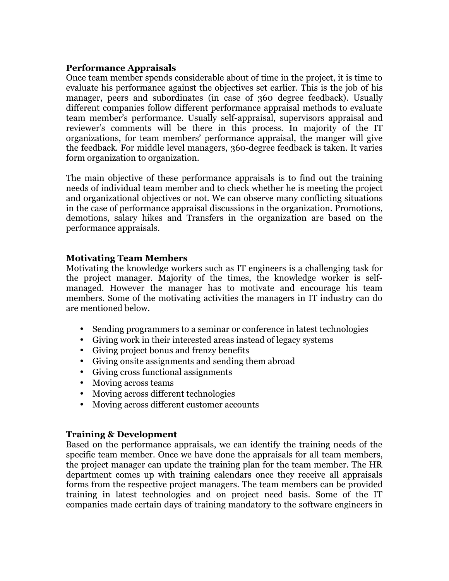# **Performance Appraisals**

Once team member spends considerable about of time in the project, it is time to evaluate his performance against the objectives set earlier. This is the job of his manager, peers and subordinates (in case of 360 degree feedback). Usually different companies follow different performance appraisal methods to evaluate team member's performance. Usually self-appraisal, supervisors appraisal and reviewer's comments will be there in this process. In majority of the IT organizations, for team members' performance appraisal, the manger will give the feedback. For middle level managers, 360-degree feedback is taken. It varies form organization to organization.

The main objective of these performance appraisals is to find out the training needs of individual team member and to check whether he is meeting the project and organizational objectives or not. We can observe many conflicting situations in the case of performance appraisal discussions in the organization. Promotions, demotions, salary hikes and Transfers in the organization are based on the performance appraisals.

# **Motivating Team Members**

Motivating the knowledge workers such as IT engineers is a challenging task for the project manager. Majority of the times, the knowledge worker is selfmanaged. However the manager has to motivate and encourage his team members. Some of the motivating activities the managers in IT industry can do are mentioned below.

- Sending programmers to a seminar or conference in latest technologies
- Giving work in their interested areas instead of legacy systems
- Giving project bonus and frenzy benefits
- Giving onsite assignments and sending them abroad
- Giving cross functional assignments
- Moving across teams
- Moving across different technologies
- Moving across different customer accounts

# **Training & Development**

Based on the performance appraisals, we can identify the training needs of the specific team member. Once we have done the appraisals for all team members, the project manager can update the training plan for the team member. The HR department comes up with training calendars once they receive all appraisals forms from the respective project managers. The team members can be provided training in latest technologies and on project need basis. Some of the IT companies made certain days of training mandatory to the software engineers in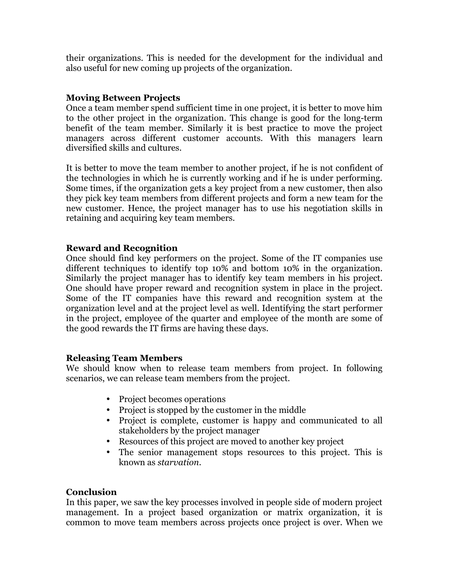their organizations. This is needed for the development for the individual and also useful for new coming up projects of the organization.

# **Moving Between Projects**

Once a team member spend sufficient time in one project, it is better to move him to the other project in the organization. This change is good for the long-term benefit of the team member. Similarly it is best practice to move the project managers across different customer accounts. With this managers learn diversified skills and cultures.

It is better to move the team member to another project, if he is not confident of the technologies in which he is currently working and if he is under performing. Some times, if the organization gets a key project from a new customer, then also they pick key team members from different projects and form a new team for the new customer. Hence, the project manager has to use his negotiation skills in retaining and acquiring key team members.

#### **Reward and Recognition**

Once should find key performers on the project. Some of the IT companies use different techniques to identify top 10% and bottom 10% in the organization. Similarly the project manager has to identify key team members in his project. One should have proper reward and recognition system in place in the project. Some of the IT companies have this reward and recognition system at the organization level and at the project level as well. Identifying the start performer in the project, employee of the quarter and employee of the month are some of the good rewards the IT firms are having these days.

# **Releasing Team Members**

We should know when to release team members from project. In following scenarios, we can release team members from the project.

- Project becomes operations
- Project is stopped by the customer in the middle
- Project is complete, customer is happy and communicated to all stakeholders by the project manager
- Resources of this project are moved to another key project
- The senior management stops resources to this project. This is known as *starvation*.

# **Conclusion**

In this paper, we saw the key processes involved in people side of modern project management. In a project based organization or matrix organization, it is common to move team members across projects once project is over. When we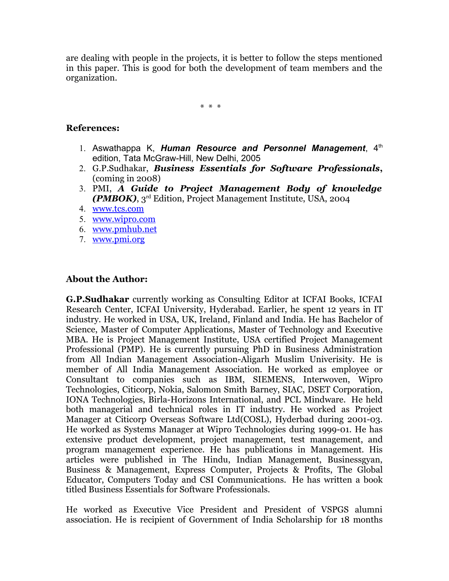are dealing with people in the projects, it is better to follow the steps mentioned in this paper. This is good for both the development of team members and the organization.

\* \* \*

### **References:**

- 1. Aswathappa K, *Human Resource and Personnel Management*, 4<sup>th</sup> edition, Tata McGraw-Hill, New Delhi, 2005
- 2. G.P.Sudhakar, *Business Essentials for Software Professionals***,** (coming in 2008)
- 3. PMI, *A Guide to Project Management Body of knowledge (PMBOK)*, 3rd Edition, Project Management Institute, USA, 2004
- 4. [www.tcs.com](http://www.tcs.com/)
- 5. [www.wipro.com](http://www.wipro.com/)
- 6. [www.pmhub.net](http://www.pmhub.net/)
- 7. [www.pmi.org](http://www.pmi.org/)

# **About the Author:**

**G.P.Sudhakar** currently working as Consulting Editor at ICFAI Books, ICFAI Research Center, ICFAI University, Hyderabad. Earlier, he spent 12 years in IT industry. He worked in USA, UK, Ireland, Finland and India. He has Bachelor of Science, Master of Computer Applications, Master of Technology and Executive MBA. He is Project Management Institute, USA certified Project Management Professional (PMP). He is currently pursuing PhD in Business Administration from All Indian Management Association-Aligarh Muslim Univerisity. He is member of All India Management Association. He worked as employee or Consultant to companies such as IBM, SIEMENS, Interwoven, Wipro Technologies, Citicorp, Nokia, Salomon Smith Barney, SIAC, DSET Corporation, IONA Technologies, Birla-Horizons International, and PCL Mindware. He held both managerial and technical roles in IT industry. He worked as Project Manager at Citicorp Overseas Software Ltd(COSL), Hyderbad during 2001-03. He worked as Systems Manager at Wipro Technologies during 1999-01. He has extensive product development, project management, test management, and program management experience. He has publications in Management. His articles were published in The Hindu, Indian Management, Businessgyan, Business & Management, Express Computer, Projects & Profits, The Global Educator, Computers Today and CSI Communications. He has written a book titled Business Essentials for Software Professionals.

He worked as Executive Vice President and President of VSPGS alumni association. He is recipient of Government of India Scholarship for 18 months